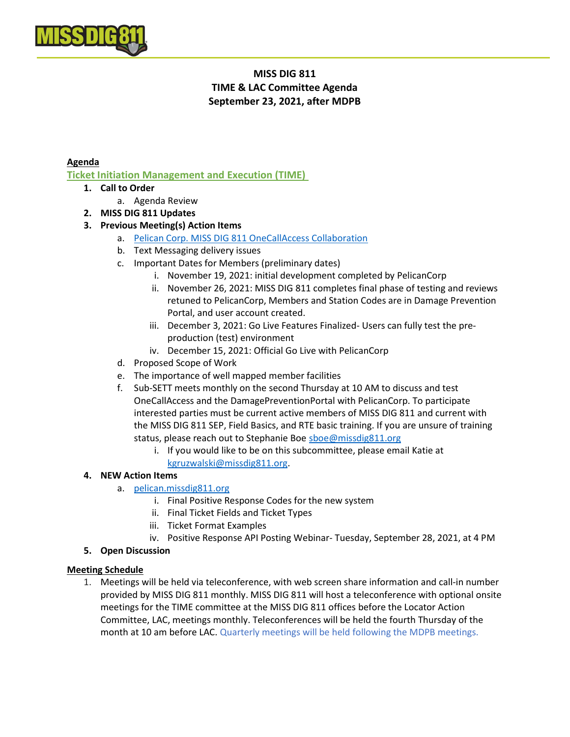

# MISS DIG 811 TIME & LAC Committee Agenda September 23, 2021, after MDPB

#### Agenda

Ticket Initiation Management and Execution (TIME)

- 1. Call to Order
	- a. Agenda Review
- 2. MISS DIG 811 Updates

### 3. Previous Meeting(s) Action Items

- a. Pelican Corp. MISS DIG 811 OneCallAccess Collaboration
- b. Text Messaging delivery issues
- c. Important Dates for Members (preliminary dates)
	- i. November 19, 2021: initial development completed by PelicanCorp
	- ii. November 26, 2021: MISS DIG 811 completes final phase of testing and reviews retuned to PelicanCorp, Members and Station Codes are in Damage Prevention Portal, and user account created.
	- iii. December 3, 2021: Go Live Features Finalized- Users can fully test the preproduction (test) environment
	- iv. December 15, 2021: Official Go Live with PelicanCorp
- d. Proposed Scope of Work
- e. The importance of well mapped member facilities
- f. Sub-SETT meets monthly on the second Thursday at 10 AM to discuss and test OneCallAccess and the DamagePreventionPortal with PelicanCorp. To participate interested parties must be current active members of MISS DIG 811 and current with the MISS DIG 811 SEP, Field Basics, and RTE basic training. If you are unsure of training status, please reach out to Stephanie Boe sboe@missdig811.org
	- i. If you would like to be on this subcommittee, please email Katie at kgruzwalski@missdig811.org.
- 4. NEW Action Items
	- a. pelican.missdig811.org
		- i. Final Positive Response Codes for the new system
		- ii. Final Ticket Fields and Ticket Types
		- iii. Ticket Format Examples
		- iv. Positive Response API Posting Webinar- Tuesday, September 28, 2021, at 4 PM
- 5. Open Discussion

#### Meeting Schedule

1. Meetings will be held via teleconference, with web screen share information and call-in number provided by MISS DIG 811 monthly. MISS DIG 811 will host a teleconference with optional onsite meetings for the TIME committee at the MISS DIG 811 offices before the Locator Action Committee, LAC, meetings monthly. Teleconferences will be held the fourth Thursday of the month at 10 am before LAC. Quarterly meetings will be held following the MDPB meetings.